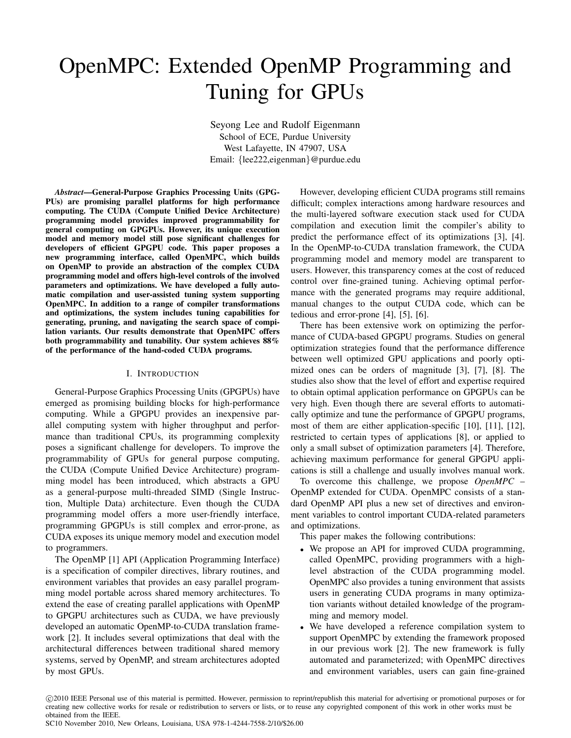# OpenMPC: Extended OpenMP Programming and Tuning for GPUs

Seyong Lee and Rudolf Eigenmann School of ECE, Purdue University West Lafayette, IN 47907, USA Email: {lee222,eigenman}@purdue.edu

*Abstract*—General-Purpose Graphics Processing Units (GPG-PUs) are promising parallel platforms for high performance computing. The CUDA (Compute Unified Device Architecture) programming model provides improved programmability for general computing on GPGPUs. However, its unique execution model and memory model still pose significant challenges for developers of efficient GPGPU code. This paper proposes a new programming interface, called OpenMPC, which builds on OpenMP to provide an abstraction of the complex CUDA programming model and offers high-level controls of the involved parameters and optimizations. We have developed a fully automatic compilation and user-assisted tuning system supporting OpenMPC. In addition to a range of compiler transformations and optimizations, the system includes tuning capabilities for generating, pruning, and navigating the search space of compilation variants. Our results demonstrate that OpenMPC offers both programmability and tunability. Our system achieves 88% of the performance of the hand-coded CUDA programs.

### I. INTRODUCTION

General-Purpose Graphics Processing Units (GPGPUs) have emerged as promising building blocks for high-performance computing. While a GPGPU provides an inexpensive parallel computing system with higher throughput and performance than traditional CPUs, its programming complexity poses a significant challenge for developers. To improve the programmability of GPUs for general purpose computing, the CUDA (Compute Unified Device Architecture) programming model has been introduced, which abstracts a GPU as a general-purpose multi-threaded SIMD (Single Instruction, Multiple Data) architecture. Even though the CUDA programming model offers a more user-friendly interface, programming GPGPUs is still complex and error-prone, as CUDA exposes its unique memory model and execution model to programmers.

The OpenMP [1] API (Application Programming Interface) is a specification of compiler directives, library routines, and environment variables that provides an easy parallel programming model portable across shared memory architectures. To extend the ease of creating parallel applications with OpenMP to GPGPU architectures such as CUDA, we have previously developed an automatic OpenMP-to-CUDA translation framework [2]. It includes several optimizations that deal with the architectural differences between traditional shared memory systems, served by OpenMP, and stream architectures adopted by most GPUs.

However, developing efficient CUDA programs still remains difficult; complex interactions among hardware resources and the multi-layered software execution stack used for CUDA compilation and execution limit the compiler's ability to predict the performance effect of its optimizations [3], [4]. In the OpenMP-to-CUDA translation framework, the CUDA programming model and memory model are transparent to users. However, this transparency comes at the cost of reduced control over fine-grained tuning. Achieving optimal performance with the generated programs may require additional, manual changes to the output CUDA code, which can be tedious and error-prone [4], [5], [6].

There has been extensive work on optimizing the performance of CUDA-based GPGPU programs. Studies on general optimization strategies found that the performance difference between well optimized GPU applications and poorly optimized ones can be orders of magnitude [3], [7], [8]. The studies also show that the level of effort and expertise required to obtain optimal application performance on GPGPUs can be very high. Even though there are several efforts to automatically optimize and tune the performance of GPGPU programs, most of them are either application-specific [10], [11], [12], restricted to certain types of applications [8], or applied to only a small subset of optimization parameters [4]. Therefore, achieving maximum performance for general GPGPU applications is still a challenge and usually involves manual work.

To overcome this challenge, we propose *OpenMPC* – OpenMP extended for CUDA. OpenMPC consists of a standard OpenMP API plus a new set of directives and environment variables to control important CUDA-related parameters and optimizations.

This paper makes the following contributions:

- We propose an API for improved CUDA programming, called OpenMPC, providing programmers with a highlevel abstraction of the CUDA programming model. OpenMPC also provides a tuning environment that assists users in generating CUDA programs in many optimization variants without detailed knowledge of the programming and memory model.
- We have developed a reference compilation system to support OpenMPC by extending the framework proposed in our previous work [2]. The new framework is fully automated and parameterized; with OpenMPC directives and environment variables, users can gain fine-grained

SC10 November 2010, New Orleans, Louisiana, USA 978-1-4244-7558-2/10/\$26.00

c 2010 IEEE Personal use of this material is permitted. However, permission to reprint/republish this material for advertising or promotional purposes or for creating new collective works for resale or redistribution to servers or lists, or to reuse any copyrighted component of this work in other works must be obtained from the IEEE.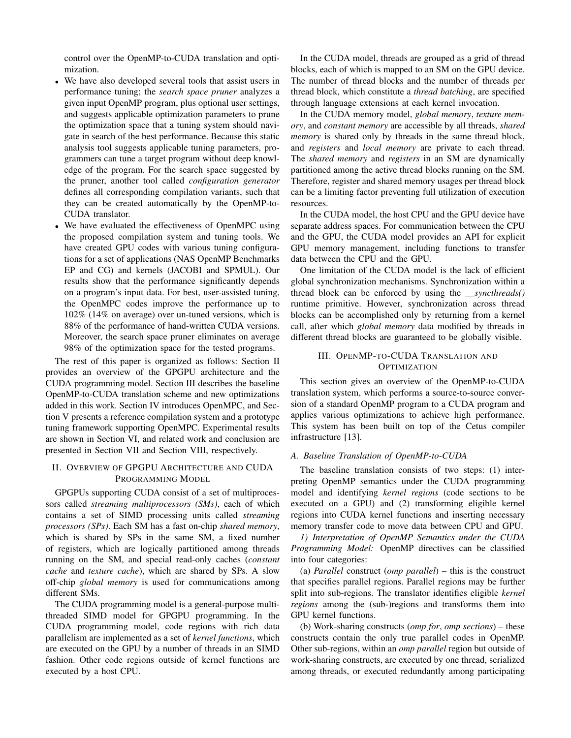control over the OpenMP-to-CUDA translation and optimization.

- We have also developed several tools that assist users in performance tuning; the *search space pruner* analyzes a given input OpenMP program, plus optional user settings, and suggests applicable optimization parameters to prune the optimization space that a tuning system should navigate in search of the best performance. Because this static analysis tool suggests applicable tuning parameters, programmers can tune a target program without deep knowledge of the program. For the search space suggested by the pruner, another tool called *configuration generator* defines all corresponding compilation variants, such that they can be created automatically by the OpenMP-to-CUDA translator.
- We have evaluated the effectiveness of OpenMPC using the proposed compilation system and tuning tools. We have created GPU codes with various tuning configurations for a set of applications (NAS OpenMP Benchmarks EP and CG) and kernels (JACOBI and SPMUL). Our results show that the performance significantly depends on a program's input data. For best, user-assisted tuning, the OpenMPC codes improve the performance up to 102% (14% on average) over un-tuned versions, which is 88% of the performance of hand-written CUDA versions. Moreover, the search space pruner eliminates on average 98% of the optimization space for the tested programs.

The rest of this paper is organized as follows: Section II provides an overview of the GPGPU architecture and the CUDA programming model. Section III describes the baseline OpenMP-to-CUDA translation scheme and new optimizations added in this work. Section IV introduces OpenMPC, and Section V presents a reference compilation system and a prototype tuning framework supporting OpenMPC. Experimental results are shown in Section VI, and related work and conclusion are presented in Section VII and Section VIII, respectively.

## II. OVERVIEW OF GPGPU ARCHITECTURE AND CUDA PROGRAMMING MODEL

GPGPUs supporting CUDA consist of a set of multiprocessors called *streaming multiprocessors (SMs)*, each of which contains a set of SIMD processing units called *streaming processors (SPs)*. Each SM has a fast on-chip *shared memory*, which is shared by SPs in the same SM, a fixed number of registers, which are logically partitioned among threads running on the SM, and special read-only caches (*constant cache* and *texture cache*), which are shared by SPs. A slow off-chip *global memory* is used for communications among different SMs.

The CUDA programming model is a general-purpose multithreaded SIMD model for GPGPU programming. In the CUDA programming model, code regions with rich data parallelism are implemented as a set of *kernel functions*, which are executed on the GPU by a number of threads in an SIMD fashion. Other code regions outside of kernel functions are executed by a host CPU.

In the CUDA model, threads are grouped as a grid of thread blocks, each of which is mapped to an SM on the GPU device. The number of thread blocks and the number of threads per thread block, which constitute a *thread batching*, are specified through language extensions at each kernel invocation.

In the CUDA memory model, *global memory*, *texture memory*, and *constant memory* are accessible by all threads, *shared memory* is shared only by threads in the same thread block, and *registers* and *local memory* are private to each thread. The *shared memory* and *registers* in an SM are dynamically partitioned among the active thread blocks running on the SM. Therefore, register and shared memory usages per thread block can be a limiting factor preventing full utilization of execution resources.

In the CUDA model, the host CPU and the GPU device have separate address spaces. For communication between the CPU and the GPU, the CUDA model provides an API for explicit GPU memory management, including functions to transfer data between the CPU and the GPU.

One limitation of the CUDA model is the lack of efficient global synchronization mechanisms. Synchronization within a thread block can be enforced by using the *syncthreads()* runtime primitive. However, synchronization across thread blocks can be accomplished only by returning from a kernel call, after which *global memory* data modified by threads in different thread blocks are guaranteed to be globally visible.

# III. OPENMP-TO-CUDA TRANSLATION AND **OPTIMIZATION**

This section gives an overview of the OpenMP-to-CUDA translation system, which performs a source-to-source conversion of a standard OpenMP program to a CUDA program and applies various optimizations to achieve high performance. This system has been built on top of the Cetus compiler infrastructure [13].

## *A. Baseline Translation of OpenMP-to-CUDA*

The baseline translation consists of two steps: (1) interpreting OpenMP semantics under the CUDA programming model and identifying *kernel regions* (code sections to be executed on a GPU) and (2) transforming eligible kernel regions into CUDA kernel functions and inserting necessary memory transfer code to move data between CPU and GPU.

*1) Interpretation of OpenMP Semantics under the CUDA Programming Model:* OpenMP directives can be classified into four categories:

(a) *Parallel* construct (*omp parallel*) – this is the construct that specifies parallel regions. Parallel regions may be further split into sub-regions. The translator identifies eligible *kernel regions* among the (sub-)regions and transforms them into GPU kernel functions.

(b) Work-sharing constructs (*omp for*, *omp sections*) – these constructs contain the only true parallel codes in OpenMP. Other sub-regions, within an *omp parallel* region but outside of work-sharing constructs, are executed by one thread, serialized among threads, or executed redundantly among participating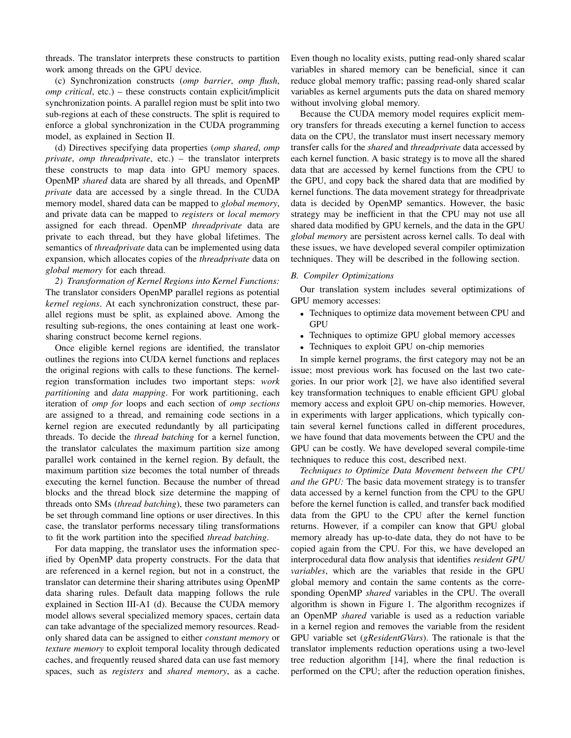threads. The translator interprets these constructs to partition work among threads on the GPU device.

(c) Synchronization constructs (*omp barrier*, *omp flush*, *omp critical*, etc.) – these constructs contain explicit/implicit synchronization points. A parallel region must be split into two sub-regions at each of these constructs. The split is required to enforce a global synchronization in the CUDA programming model, as explained in Section II.

(d) Directives specifying data properties (*omp shared*, *omp private*, *omp threadprivate*, etc.) – the translator interprets these constructs to map data into GPU memory spaces. OpenMP *shared* data are shared by all threads, and OpenMP *private* data are accessed by a single thread. In the CUDA memory model, shared data can be mapped to *global memory*, and private data can be mapped to *registers* or *local memory* assigned for each thread. OpenMP *threadprivate* data are private to each thread, but they have global lifetimes. The semantics of *threadprivate* data can be implemented using data expansion, which allocates copies of the *threadprivate* data on *global memory* for each thread.

*2) Transformation of Kernel Regions into Kernel Functions:* The translator considers OpenMP parallel regions as potential *kernel regions*. At each synchronization construct, these parallel regions must be split, as explained above. Among the resulting sub-regions, the ones containing at least one worksharing construct become kernel regions.

Once eligible kernel regions are identified, the translator outlines the regions into CUDA kernel functions and replaces the original regions with calls to these functions. The kernelregion transformation includes two important steps: *work partitioning* and *data mapping*. For work partitioning, each iteration of *omp for* loops and each section of *omp sections* are assigned to a thread, and remaining code sections in a kernel region are executed redundantly by all participating threads. To decide the *thread batching* for a kernel function, the translator calculates the maximum partition size among parallel work contained in the kernel region. By default, the maximum partition size becomes the total number of threads executing the kernel function. Because the number of thread blocks and the thread block size determine the mapping of threads onto SMs (*thread batching*), these two parameters can be set through command line options or user directives. In this case, the translator performs necessary tiling transformations to fit the work partition into the specified *thread batching*.

For data mapping, the translator uses the information specified by OpenMP data property constructs. For the data that are referenced in a kernel region, but not in a construct, the translator can determine their sharing attributes using OpenMP data sharing rules. Default data mapping follows the rule explained in Section III-A1 (d). Because the CUDA memory model allows several specialized memory spaces, certain data can take advantage of the specialized memory resources. Readonly shared data can be assigned to either *constant memory* or *texture memory* to exploit temporal locality through dedicated caches, and frequently reused shared data can use fast memory spaces, such as *registers* and *shared memory*, as a cache. Even though no locality exists, putting read-only shared scalar variables in shared memory can be beneficial, since it can reduce global memory traffic; passing read-only shared scalar variables as kernel arguments puts the data on shared memory without involving global memory.

Because the CUDA memory model requires explicit memory transfers for threads executing a kernel function to access data on the CPU, the translator must insert necessary memory transfer calls for the *shared* and *threadprivate* data accessed by each kernel function. A basic strategy is to move all the shared data that are accessed by kernel functions from the CPU to the GPU, and copy back the shared data that are modified by kernel functions. The data movement strategy for threadprivate data is decided by OpenMP semantics. However, the basic strategy may be inefficient in that the CPU may not use all shared data modified by GPU kernels, and the data in the GPU *global memory* are persistent across kernel calls. To deal with these issues, we have developed several compiler optimization techniques. They will be described in the following section.

## *B. Compiler Optimizations*

Our translation system includes several optimizations of GPU memory accesses:

- Techniques to optimize data movement between CPU and **GPU**
- Techniques to optimize GPU global memory accesses
- Techniques to exploit GPU on-chip memories

In simple kernel programs, the first category may not be an issue; most previous work has focused on the last two categories. In our prior work [2], we have also identified several key transformation techniques to enable efficient GPU global memory access and exploit GPU on-chip memories. However, in experiments with larger applications, which typically contain several kernel functions called in different procedures, we have found that data movements between the CPU and the GPU can be costly. We have developed several compile-time techniques to reduce this cost, described next.

*Techniques to Optimize Data Movement between the CPU and the GPU:* The basic data movement strategy is to transfer data accessed by a kernel function from the CPU to the GPU before the kernel function is called, and transfer back modified data from the GPU to the CPU after the kernel function returns. However, if a compiler can know that GPU global memory already has up-to-date data, they do not have to be copied again from the CPU. For this, we have developed an interprocedural data flow analysis that identifies *resident GPU variables*, which are the variables that reside in the GPU global memory and contain the same contents as the corresponding OpenMP *shared* variables in the CPU. The overall algorithm is shown in Figure 1. The algorithm recognizes if an OpenMP *shared* variable is used as a reduction variable in a kernel region and removes the variable from the resident GPU variable set (*gResidentGVars*). The rationale is that the translator implements reduction operations using a two-level tree reduction algorithm [14], where the final reduction is performed on the CPU; after the reduction operation finishes,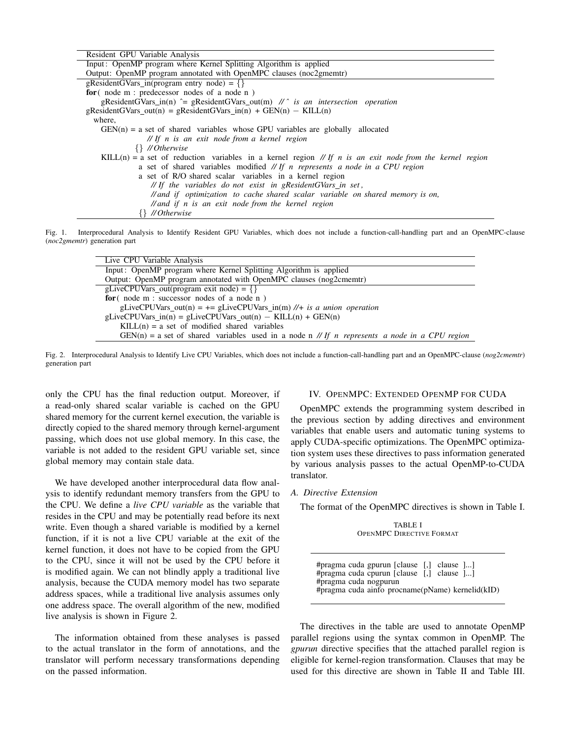| Resident GPU Variable Analysis                                                                           |
|----------------------------------------------------------------------------------------------------------|
| Input: OpenMP program where Kernel Splitting Algorithm is applied                                        |
| Output: OpenMP program annotated with OpenMPC clauses (noc2gmemtr)                                       |
| gResidentGVars in(program entry node) = $\{\}$                                                           |
| for $($ node $m :$ predecessor nodes of a node $n$ )                                                     |
| gResidentGVars_in(n) $\hat{=}$ gResidentGVars_out(m) // $\hat{a}$ is an intersection operation           |
| gResidentGVars out(n) = gResidentGVars in(n) + GEN(n) - KILL(n)                                          |
| where,                                                                                                   |
| $GEN(n) = a$ set of shared variables whose GPU variables are globally allocated                          |
| $//$ If n is an exit node from a kernel region                                                           |
| $\{\}\$ // Otherwise                                                                                     |
| KILL(n) = a set of reduction variables in a kernel region // If n is an exit node from the kernel region |
| a set of shared variables modified // If n represents a node in a CPU region                             |
| a set of R/O shared scalar variables in a kernel region                                                  |
| // If the variables do not exist in gResidentGVars_in set,                                               |
| // and if optimization to cache shared scalar variable on shared memory is on,                           |
| $\mathcal{N}$ and if n is an exit node from the kernel region                                            |
| {} // Otherwise                                                                                          |

Fig. 1. Interprocedural Analysis to Identify Resident GPU Variables, which does not include a function-call-handling part and an OpenMPC-clause (*noc2gmemtr*) generation part

| Live CPU Variable Analysis                                                                    |
|-----------------------------------------------------------------------------------------------|
| Input: OpenMP program where Kernel Splitting Algorithm is applied                             |
| Output: OpenMP program annotated with OpenMPC clauses (nog2cmemtr)                            |
| gLiveCPUVars_out(program exit node) = $\{\}$                                                  |
| for $($ node m : successor nodes of a node n $)$                                              |
| gLiveCPUVars_out(n) = $+=$ gLiveCPUVars_in(m) //+ is a union operation                        |
| $gliveCPUVars_in(n) = gliveCPUVars_out(n) - KILL(n) + GEN(n)$                                 |
| $KILL(n) = a set of modified shared variables$                                                |
| GEN(n) = a set of shared variables used in a node n // If n represents a node in a CPU region |

Fig. 2. Interprocedural Analysis to Identify Live CPU Variables, which does not include a function-call-handling part and an OpenMPC-clause (*nog2cmemtr*) generation part

only the CPU has the final reduction output. Moreover, if a read-only shared scalar variable is cached on the GPU shared memory for the current kernel execution, the variable is directly copied to the shared memory through kernel-argument passing, which does not use global memory. In this case, the variable is not added to the resident GPU variable set, since global memory may contain stale data.

We have developed another interprocedural data flow analysis to identify redundant memory transfers from the GPU to the CPU. We define a *live CPU variable* as the variable that resides in the CPU and may be potentially read before its next write. Even though a shared variable is modified by a kernel function, if it is not a live CPU variable at the exit of the kernel function, it does not have to be copied from the GPU to the CPU, since it will not be used by the CPU before it is modified again. We can not blindly apply a traditional live analysis, because the CUDA memory model has two separate address spaces, while a traditional live analysis assumes only one address space. The overall algorithm of the new, modified live analysis is shown in Figure 2.

The information obtained from these analyses is passed to the actual translator in the form of annotations, and the translator will perform necessary transformations depending on the passed information.

### IV. OPENMPC: EXTENDED OPENMP FOR CUDA

OpenMPC extends the programming system described in the previous section by adding directives and environment variables that enable users and automatic tuning systems to apply CUDA-specific optimizations. The OpenMPC optimization system uses these directives to pass information generated by various analysis passes to the actual OpenMP-to-CUDA translator.

*A. Directive Extension*

The format of the OpenMPC directives is shown in Table I.

TABLE I OPENMPC DIRECTIVE FORMAT

#pragma cuda gpurun [clause [,] clause ]...] #pragma cuda cpurun [clause [,] clause ]...] #pragma cuda nogpurun #pragma cuda ainfo procname(pName) kernelid(kID)

The directives in the table are used to annotate OpenMP parallel regions using the syntax common in OpenMP. The *gpurun* directive specifies that the attached parallel region is eligible for kernel-region transformation. Clauses that may be used for this directive are shown in Table II and Table III.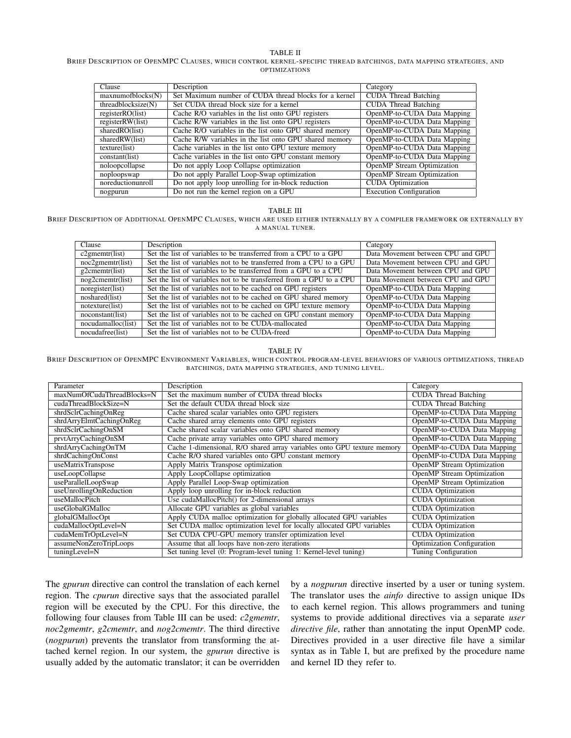#### TABLE II

#### BRIEF DESCRIPTION OF OPENMPC CLAUSES, WHICH CONTROL KERNEL-SPECIFIC THREAD BATCHINGS, DATA MAPPING STRATEGIES, AND OPTIMIZATIONS

| Clause             | Description                                            | Category                          |
|--------------------|--------------------------------------------------------|-----------------------------------|
| maxnumofblocks(N)  | Set Maximum number of CUDA thread blocks for a kernel  | <b>CUDA</b> Thread Batching       |
| threadblocksize(N) | Set CUDA thread block size for a kernel                | <b>CUDA</b> Thread Batching       |
| registerRO(list)   | Cache R/O variables in the list onto GPU registers     | OpenMP-to-CUDA Data Mapping       |
| registerRW(list)   | Cache R/W variables in the list onto GPU registers     | OpenMP-to-CUDA Data Mapping       |
| sharedRO(list)     | Cache R/O variables in the list onto GPU shared memory | OpenMP-to-CUDA Data Mapping       |
| sharedRW(list)     | Cache R/W variables in the list onto GPU shared memory | OpenMP-to-CUDA Data Mapping       |
| texture(list)      | Cache variables in the list onto GPU texture memory    | OpenMP-to-CUDA Data Mapping       |
| constant(list)     | Cache variables in the list onto GPU constant memory   | OpenMP-to-CUDA Data Mapping       |
| noloopcollapse     | Do not apply Loop Collapse optimization                | <b>OpenMP</b> Stream Optimization |
| noploopswap        | Do not apply Parallel Loop-Swap optimization           | <b>OpenMP</b> Stream Optimization |
| noreductionunroll  | Do not apply loop unrolling for in-block reduction     | <b>CUDA</b> Optimization          |
| nogpurun           | Do not run the kernel region on a GPU                  | <b>Execution Configuration</b>    |

## TABLE III

#### BRIEF DESCRIPTION OF ADDITIONAL OPENMPC CLAUSES, WHICH ARE USED EITHER INTERNALLY BY A COMPILER FRAMEWORK OR EXTERNALLY BY A MANUAL TUNER.

| Clause              | Description                                                         | Category                          |
|---------------------|---------------------------------------------------------------------|-----------------------------------|
| $c2$ gmemtr(list)   | Set the list of variables to be transferred from a CPU to a GPU     | Data Movement between CPU and GPU |
| $noc2$ gmemtr(list) | Set the list of variables not to be transferred from a CPU to a GPU | Data Movement between CPU and GPU |
| $g2$ cmemtr(list)   | Set the list of variables to be transferred from a GPU to a CPU     | Data Movement between CPU and GPU |
| nog2cmentr(list)    | Set the list of variables not to be transferred from a GPU to a CPU | Data Movement between CPU and GPU |
| noregister(list)    | Set the list of variables not to be cached on GPU registers         | OpenMP-to-CUDA Data Mapping       |
| noshared(list)      | Set the list of variables not to be cached on GPU shared memory     | OpenMP-to-CUDA Data Mapping       |
| notexture(list)     | Set the list of variables not to be cached on GPU texture memory    | OpenMP-to-CUDA Data Mapping       |
| noconstant(list)    | Set the list of variables not to be cached on GPU constant memory   | OpenMP-to-CUDA Data Mapping       |
| nocudamalloc(list)  | Set the list of variables not to be CUDA-mallocated                 | OpenMP-to-CUDA Data Mapping       |
| nocudafree(list)    | Set the list of variables not to be CUDA-freed                      | OpenMP-to-CUDA Data Mapping       |

#### TABLE IV

BRIEF DESCRIPTION OF OPENMPC ENVIRONMENT VARIABLES, WHICH CONTROL PROGRAM-LEVEL BEHAVIORS OF VARIOUS OPTIMIZATIONS, THREAD BATCHINGS, DATA MAPPING STRATEGIES, AND TUNING LEVEL.

| Parameter                  | Description                                                             | Category                          |
|----------------------------|-------------------------------------------------------------------------|-----------------------------------|
| maxNumOfCudaThreadBlocks=N | Set the maximum number of CUDA thread blocks                            | <b>CUDA</b> Thread Batching       |
| cudaThreadBlockSize=N      | Set the default CUDA thread block size                                  | <b>CUDA</b> Thread Batching       |
| shrdSclrCachingOnReg       | Cache shared scalar variables onto GPU registers                        | OpenMP-to-CUDA Data Mapping       |
| shrdArryElmtCachingOnReg   | Cache shared array elements onto GPU registers                          | OpenMP-to-CUDA Data Mapping       |
| shrdSclrCachingOnSM        | Cache shared scalar variables onto GPU shared memory                    | OpenMP-to-CUDA Data Mapping       |
| prvtArryCachingOnSM        | Cache private array variables onto GPU shared memory                    | OpenMP-to-CUDA Data Mapping       |
| shrdArryCachingOnTM        | Cache 1-dimensional, R/O shared array variables onto GPU texture memory | OpenMP-to-CUDA Data Mapping       |
| shrdCachingOnConst         | Cache R/O shared variables onto GPU constant memory                     | OpenMP-to-CUDA Data Mapping       |
| useMatrixTranspose         | Apply Matrix Transpose optimization                                     | <b>OpenMP</b> Stream Optimization |
| useLoopCollapse            | Apply LoopCollapse optimization                                         | <b>OpenMP</b> Stream Optimization |
| useParallelLoopSwap        | Apply Parallel Loop-Swap optimization                                   | <b>OpenMP</b> Stream Optimization |
| useUnrollingOnReduction    | Apply loop unrolling for in-block reduction                             | <b>CUDA</b> Optimization          |
| useMallocPitch             | Use cudaMallocPitch() for 2-dimensional arrays                          | <b>CUDA</b> Optimization          |
| useGlobalGMalloc           | Allocate GPU variables as global variables                              | <b>CUDA</b> Optimization          |
| globalGMallocOpt           | Apply CUDA malloc optimization for globally allocated GPU variables     | <b>CUDA</b> Optimization          |
| cudaMallocOptLevel=N       | Set CUDA malloc optimization level for locally allocated GPU variables  | <b>CUDA</b> Optimization          |
| cudaMemTrOptLevel=N        | Set CUDA CPU-GPU memory transfer optimization level                     | <b>CUDA</b> Optimization          |
| assumeNonZeroTripLoops     | Assume that all loops have non-zero iterations                          | Optimization Configuration        |
| tuningLevel=N              | Set tuning level (0: Program-level tuning 1: Kernel-level tuning)       | Tuning Configuration              |

The *gpurun* directive can control the translation of each kernel region. The *cpurun* directive says that the associated parallel region will be executed by the CPU. For this directive, the following four clauses from Table III can be used: *c2gmemtr*, *noc2gmemtr*, *g2cmemtr*, and *nog2cmemtr*. The third directive (*nogpurun*) prevents the translator from transforming the attached kernel region. In our system, the *gpurun* directive is usually added by the automatic translator; it can be overridden

by a *nogpurun* directive inserted by a user or tuning system. The translator uses the *ainfo* directive to assign unique IDs to each kernel region. This allows programmers and tuning systems to provide additional directives via a separate *user directive file*, rather than annotating the input OpenMP code. Directives provided in a user directive file have a similar syntax as in Table I, but are prefixed by the procedure name and kernel ID they refer to.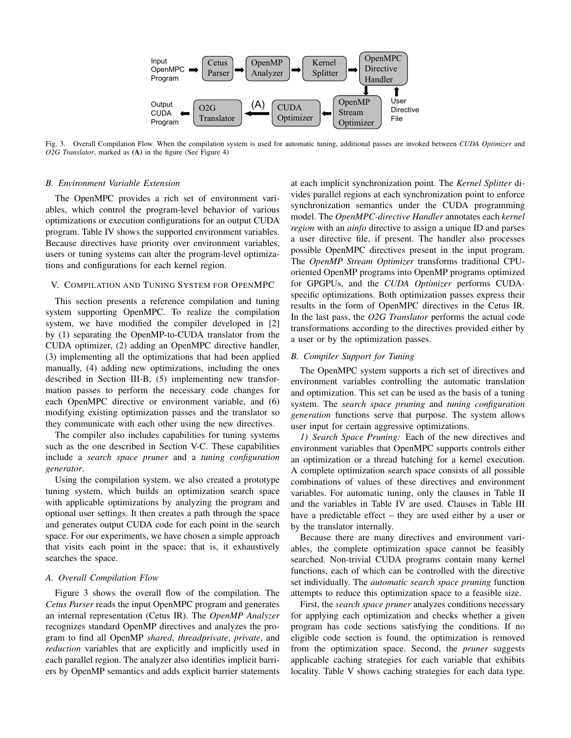

Fig. 3. Overall Compilation Flow. When the compilation system is used for automatic tuning, additional passes are invoked between *CUDA Optimizer* and *O2G Translator*, marked as (A) in the figure (See Figure 4)

#### *B. Environment Variable Extension*

The OpenMPC provides a rich set of environment variables, which control the program-level behavior of various optimizations or execution configurations for an output CUDA program. Table IV shows the supported environment variables. Because directives have priority over environment variables, users or tuning systems can alter the program-level optimizations and configurations for each kernel region.

### V. COMPILATION AND TUNING SYSTEM FOR OPENMPC

This section presents a reference compilation and tuning system supporting OpenMPC. To realize the compilation system, we have modified the compiler developed in [2] by (1) separating the OpenMP-to-CUDA translator from the CUDA optimizer, (2) adding an OpenMPC directive handler, (3) implementing all the optimizations that had been applied manually, (4) adding new optimizations, including the ones described in Section III-B, (5) implementing new transformation passes to perform the necessary code changes for each OpenMPC directive or environment variable, and (6) modifying existing optimization passes and the translator so they communicate with each other using the new directives.

The compiler also includes capabilities for tuning systems such as the one described in Section V-C. These capabilities include a *search space pruner* and a *tuning configuration generator*.

Using the compilation system, we also created a prototype tuning system, which builds an optimization search space with applicable optimizations by analyzing the program and optional user settings. It then creates a path through the space and generates output CUDA code for each point in the search space. For our experiments, we have chosen a simple approach that visits each point in the space; that is, it exhaustively searches the space.

#### *A. Overall Compilation Flow*

Figure 3 shows the overall flow of the compilation. The *Cetus Parser* reads the input OpenMPC program and generates an internal representation (Cetus IR). The *OpenMP Analyzer* recognizes standard OpenMP directives and analyzes the program to find all OpenMP *shared*, *threadprivate*, *private*, and *reduction* variables that are explicitly and implicitly used in each parallel region. The analyzer also identifies implicit barriers by OpenMP semantics and adds explicit barrier statements

at each implicit synchronization point. The *Kernel Splitter* divides parallel regions at each synchronization point to enforce synchronization semantics under the CUDA programming model. The *OpenMPC-directive Handler* annotates each *kernel region* with an *ainfo* directive to assign a unique ID and parses a user directive file, if present. The handler also processes possible OpenMPC directives present in the input program. The *OpenMP Stream Optimizer* transforms traditional CPUoriented OpenMP programs into OpenMP programs optimized for GPGPUs, and the *CUDA Optimizer* performs CUDAspecific optimizations. Both optimization passes express their results in the form of OpenMPC directives in the Cetus IR. In the last pass, the *O2G Translator* performs the actual code transformations according to the directives provided either by a user or by the optimization passes.

#### *B. Compiler Support for Tuning*

The OpenMPC system supports a rich set of directives and environment variables controlling the automatic translation and optimization. This set can be used as the basis of a tuning system. The *search space pruning* and *tuning configuration generation* functions serve that purpose. The system allows user input for certain aggressive optimizations.

*1) Search Space Pruning:* Each of the new directives and environment variables that OpenMPC supports controls either an optimization or a thread batching for a kernel execution. A complete optimization search space consists of all possible combinations of values of these directives and environment variables. For automatic tuning, only the clauses in Table II and the variables in Table IV are used. Clauses in Table III have a predictable effect – they are used either by a user or by the translator internally.

Because there are many directives and environment variables, the complete optimization space cannot be feasibly searched. Non-trivial CUDA programs contain many kernel functions, each of which can be controlled with the directive set individually. The *automatic search space pruning* function attempts to reduce this optimization space to a feasible size.

First, the *search space pruner* analyzes conditions necessary for applying each optimization and checks whether a given program has code sections satisfying the conditions. If no eligible code section is found, the optimization is removed from the optimization space. Second, the *pruner* suggests applicable caching strategies for each variable that exhibits locality. Table V shows caching strategies for each data type.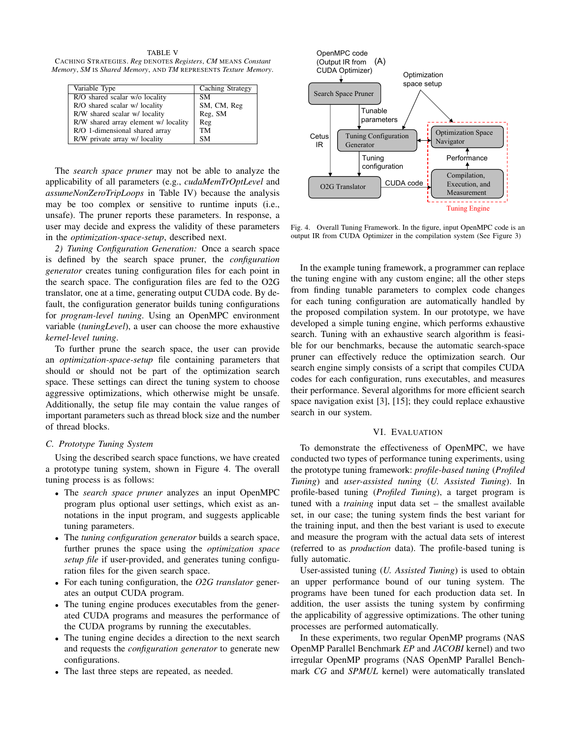TABLE V CACHING STRATEGIES. *Reg* DENOTES *Registers*, *CM* MEANS *Constant Memory*, *SM* IS *Shared Memory*, AND *TM* REPRESENTS *Texture Memory*.

| Variable Type                        | Caching Strategy |
|--------------------------------------|------------------|
| R/O shared scalar w/o locality       | <b>SM</b>        |
| R/O shared scalar w/ locality        | SM, CM, Reg      |
| R/W shared scalar w/ locality        | Reg, SM          |
| R/W shared array element w/ locality | Reg              |
| R/O 1-dimensional shared array       | <b>TM</b>        |
| R/W private array w/ locality        | <b>SM</b>        |

The *search space pruner* may not be able to analyze the applicability of all parameters (e.g., *cudaMemTrOptLevel* and *assumeNonZeroTripLoops* in Table IV) because the analysis may be too complex or sensitive to runtime inputs (i.e., unsafe). The pruner reports these parameters. In response, a user may decide and express the validity of these parameters in the *optimization-space-setup*, described next.

*2) Tuning Configuration Generation:* Once a search space is defined by the search space pruner, the *configuration generator* creates tuning configuration files for each point in the search space. The configuration files are fed to the O2G translator, one at a time, generating output CUDA code. By default, the configuration generator builds tuning configurations for *program-level tuning*. Using an OpenMPC environment variable (*tuningLevel*), a user can choose the more exhaustive *kernel-level tuning*.

To further prune the search space, the user can provide an *optimization-space-setup* file containing parameters that should or should not be part of the optimization search space. These settings can direct the tuning system to choose aggressive optimizations, which otherwise might be unsafe. Additionally, the setup file may contain the value ranges of important parameters such as thread block size and the number of thread blocks.

### *C. Prototype Tuning System*

Using the described search space functions, we have created a prototype tuning system, shown in Figure 4. The overall tuning process is as follows:

- The *search space pruner* analyzes an input OpenMPC program plus optional user settings, which exist as annotations in the input program, and suggests applicable tuning parameters.
- The *tuning configuration generator* builds a search space, further prunes the space using the *optimization space setup file* if user-provided, and generates tuning configuration files for the given search space.
- For each tuning configuration, the *O2G translator* generates an output CUDA program.
- The tuning engine produces executables from the generated CUDA programs and measures the performance of the CUDA programs by running the executables.
- The tuning engine decides a direction to the next search and requests the *configuration generator* to generate new configurations.
- The last three steps are repeated, as needed.



Fig. 4. Overall Tuning Framework. In the figure, input OpenMPC code is an output IR from CUDA Optimizer in the compilation system (See Figure 3)

In the example tuning framework, a programmer can replace the tuning engine with any custom engine; all the other steps from finding tunable parameters to complex code changes for each tuning configuration are automatically handled by the proposed compilation system. In our prototype, we have developed a simple tuning engine, which performs exhaustive search. Tuning with an exhaustive search algorithm is feasible for our benchmarks, because the automatic search-space pruner can effectively reduce the optimization search. Our search engine simply consists of a script that compiles CUDA codes for each configuration, runs executables, and measures their performance. Several algorithms for more efficient search space navigation exist [3], [15]; they could replace exhaustive search in our system.

## VI. EVALUATION

To demonstrate the effectiveness of OpenMPC, we have conducted two types of performance tuning experiments, using the prototype tuning framework: *profile-based tuning* (*Profiled Tuning*) and *user-assisted tuning* (*U. Assisted Tuning*). In profile-based tuning (*Profiled Tuning*), a target program is tuned with a *training* input data set – the smallest available set, in our case; the tuning system finds the best variant for the training input, and then the best variant is used to execute and measure the program with the actual data sets of interest (referred to as *production* data). The profile-based tuning is fully automatic.

User-assisted tuning (*U. Assisted Tuning*) is used to obtain an upper performance bound of our tuning system. The programs have been tuned for each production data set. In addition, the user assists the tuning system by confirming the applicability of aggressive optimizations. The other tuning processes are performed automatically.

In these experiments, two regular OpenMP programs (NAS OpenMP Parallel Benchmark *EP* and *JACOBI* kernel) and two irregular OpenMP programs (NAS OpenMP Parallel Benchmark *CG* and *SPMUL* kernel) were automatically translated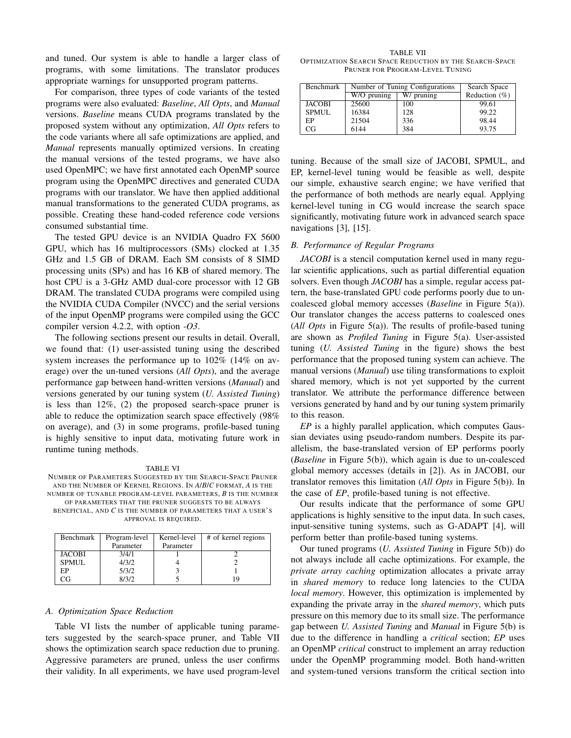and tuned. Our system is able to handle a larger class of programs, with some limitations. The translator produces appropriate warnings for unsupported program patterns.

For comparison, three types of code variants of the tested programs were also evaluated: *Baseline*, *All Opts*, and *Manual* versions. *Baseline* means CUDA programs translated by the proposed system without any optimization, *All Opts* refers to the code variants where all safe optimizations are applied, and *Manual* represents manually optimized versions. In creating the manual versions of the tested programs, we have also used OpenMPC; we have first annotated each OpenMP source program using the OpenMPC directives and generated CUDA programs with our translator. We have then applied additional manual transformations to the generated CUDA programs, as possible. Creating these hand-coded reference code versions consumed substantial time.

The tested GPU device is an NVIDIA Quadro FX 5600 GPU, which has 16 multiprocessors (SMs) clocked at 1.35 GHz and 1.5 GB of DRAM. Each SM consists of 8 SIMD processing units (SPs) and has 16 KB of shared memory. The host CPU is a 3-GHz AMD dual-core processor with 12 GB DRAM. The translated CUDA programs were compiled using the NVIDIA CUDA Compiler (NVCC) and the serial versions of the input OpenMP programs were compiled using the GCC compiler version 4.2.2, with option *-O3*.

The following sections present our results in detail. Overall, we found that: (1) user-assisted tuning using the described system increases the performance up to 102% (14% on average) over the un-tuned versions (*All Opts*), and the average performance gap between hand-written versions (*Manual*) and versions generated by our tuning system (*U. Assisted Tuning*) is less than 12%, (2) the proposed search-space pruner is able to reduce the optimization search space effectively (98% on average), and (3) in some programs, profile-based tuning is highly sensitive to input data, motivating future work in runtime tuning methods.

#### TABLE VI

NUMBER OF PARAMETERS SUGGESTED BY THE SEARCH-SPACE PRUNER AND THE NUMBER OF KERNEL REGIONS. IN *A*/*B*/*C* FORMAT, *A* IS THE NUMBER OF TUNABLE PROGRAM-LEVEL PARAMETERS, *B* IS THE NUMBER OF PARAMETERS THAT THE PRUNER SUGGESTS TO BE ALWAYS BENEFICIAL, AND *C* IS THE NUMBER OF PARAMETERS THAT A USER'S

APPROVAL IS REQUIRED.

| Benchmark     | Program-level | Kernel-level | # of kernel regions |
|---------------|---------------|--------------|---------------------|
|               | Parameter     | Parameter    |                     |
| <b>JACOBI</b> | 3/4/1         |              |                     |
| <b>SPMUL</b>  | 4/3/2         |              |                     |
| EP            | 5/3/2         |              |                     |
|               | 8/3/2         |              |                     |

#### *A. Optimization Space Reduction*

Table VI lists the number of applicable tuning parameters suggested by the search-space pruner, and Table VII shows the optimization search space reduction due to pruning. Aggressive parameters are pruned, unless the user confirms their validity. In all experiments, we have used program-level

TABLE VII OPTIMIZATION SEARCH SPACE REDUCTION BY THE SEARCH-SPACE PRUNER FOR PROGRAM-LEVEL TUNING

| Benchmark     | Number of Tuning Configurations |            | Search Space     |
|---------------|---------------------------------|------------|------------------|
|               | $W/O$ pruning                   | W/ pruning | Reduction $(\%)$ |
| <b>JACOBI</b> | 25600                           | 100        | 99.61            |
| <b>SPMUL</b>  | 16384                           | 128        | 99.22            |
| EP            | 21504                           | 336        | 98.44            |
| CG            | 6144                            | 384        | 93.75            |

tuning. Because of the small size of JACOBI, SPMUL, and EP, kernel-level tuning would be feasible as well, despite our simple, exhaustive search engine; we have verified that the performance of both methods are nearly equal. Applying kernel-level tuning in CG would increase the search space significantly, motivating future work in advanced search space navigations [3], [15].

## *B. Performance of Regular Programs*

*JACOBI* is a stencil computation kernel used in many regular scientific applications, such as partial differential equation solvers. Even though *JACOBI* has a simple, regular access pattern, the base-translated GPU code performs poorly due to uncoalesced global memory accesses (*Baseline* in Figure 5(a)). Our translator changes the access patterns to coalesced ones (*All Opts* in Figure 5(a)). The results of profile-based tuning are shown as *Profiled Tuning* in Figure 5(a). User-assisted tuning (*U. Assisted Tuning* in the figure) shows the best performance that the proposed tuning system can achieve. The manual versions (*Manual*) use tiling transformations to exploit shared memory, which is not yet supported by the current translator. We attribute the performance difference between versions generated by hand and by our tuning system primarily to this reason.

*EP* is a highly parallel application, which computes Gaussian deviates using pseudo-random numbers. Despite its parallelism, the base-translated version of EP performs poorly (*Baseline* in Figure 5(b)), which again is due to un-coalesced global memory accesses (details in [2]). As in JACOBI, our translator removes this limitation (*All Opts* in Figure 5(b)). In the case of *EP*, profile-based tuning is not effective.

Our results indicate that the performance of some GPU applications is highly sensitive to the input data. In such cases, input-sensitive tuning systems, such as G-ADAPT [4], will perform better than profile-based tuning systems.

Our tuned programs (*U. Assisted Tuning* in Figure 5(b)) do not always include all cache optimizations. For example, the *private array caching* optimization allocates a private array in *shared memory* to reduce long latencies to the CUDA *local memory*. However, this optimization is implemented by expanding the private array in the *shared memory*, which puts pressure on this memory due to its small size. The performance gap between *U. Assisted Tuning* and *Manual* in Figure 5(b) is due to the difference in handling a *critical* section; *EP* uses an OpenMP *critical* construct to implement an array reduction under the OpenMP programming model. Both hand-written and system-tuned versions transform the critical section into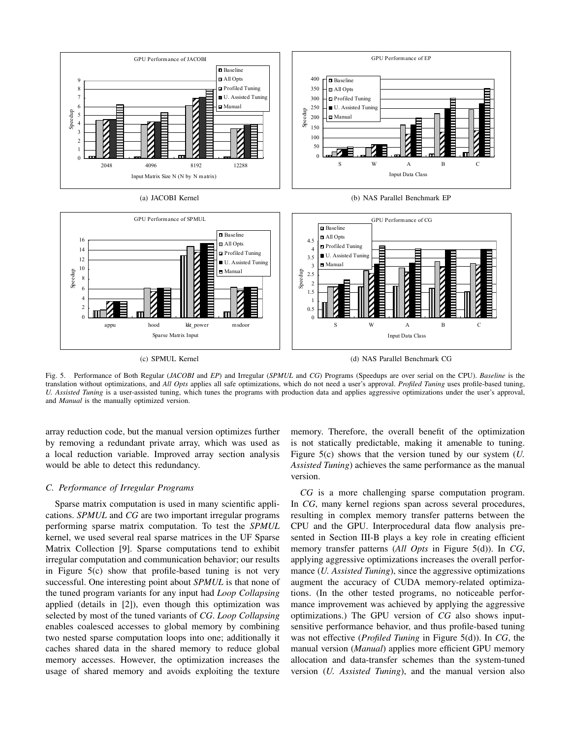

(c) SPMUL Kernel

(d) NAS Parallel Benchmark CG

Fig. 5. Performance of Both Regular (*JACOBI* and *EP*) and Irregular (*SPMUL* and *CG*) Programs (Speedups are over serial on the CPU). *Baseline* is the translation without optimizations, and *All Opts* applies all safe optimizations, which do not need a user's approval. *Profiled Tuning* uses profile-based tuning, *U. Assisted Tuning* is a user-assisted tuning, which tunes the programs with production data and applies aggressive optimizations under the user's approval, and *Manual* is the manually optimized version.

array reduction code, but the manual version optimizes further by removing a redundant private array, which was used as a local reduction variable. Improved array section analysis would be able to detect this redundancy.

### *C. Performance of Irregular Programs*

Sparse matrix computation is used in many scientific applications. *SPMUL* and *CG* are two important irregular programs performing sparse matrix computation. To test the *SPMUL* kernel, we used several real sparse matrices in the UF Sparse Matrix Collection [9]. Sparse computations tend to exhibit irregular computation and communication behavior; our results in Figure 5(c) show that profile-based tuning is not very successful. One interesting point about *SPMUL* is that none of the tuned program variants for any input had *Loop Collapsing* applied (details in [2]), even though this optimization was selected by most of the tuned variants of *CG*. *Loop Collapsing* enables coalesced accesses to global memory by combining two nested sparse computation loops into one; additionally it caches shared data in the shared memory to reduce global memory accesses. However, the optimization increases the usage of shared memory and avoids exploiting the texture

memory. Therefore, the overall benefit of the optimization is not statically predictable, making it amenable to tuning. Figure 5(c) shows that the version tuned by our system (*U. Assisted Tuning*) achieves the same performance as the manual version.

*CG* is a more challenging sparse computation program. In *CG*, many kernel regions span across several procedures, resulting in complex memory transfer patterns between the CPU and the GPU. Interprocedural data flow analysis presented in Section III-B plays a key role in creating efficient memory transfer patterns (*All Opts* in Figure 5(d)). In *CG*, applying aggressive optimizations increases the overall performance (*U. Assisted Tuning*), since the aggressive optimizations augment the accuracy of CUDA memory-related optimizations. (In the other tested programs, no noticeable performance improvement was achieved by applying the aggressive optimizations.) The GPU version of *CG* also shows inputsensitive performance behavior, and thus profile-based tuning was not effective (*Profiled Tuning* in Figure 5(d)). In *CG*, the manual version (*Manual*) applies more efficient GPU memory allocation and data-transfer schemes than the system-tuned version (*U. Assisted Tuning*), and the manual version also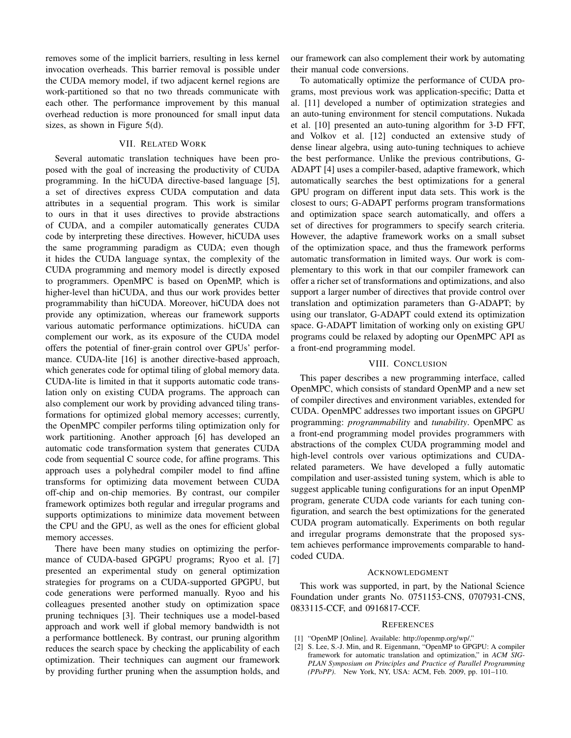removes some of the implicit barriers, resulting in less kernel invocation overheads. This barrier removal is possible under the CUDA memory model, if two adjacent kernel regions are work-partitioned so that no two threads communicate with each other. The performance improvement by this manual overhead reduction is more pronounced for small input data sizes, as shown in Figure 5(d).

## VII. RELATED WORK

Several automatic translation techniques have been proposed with the goal of increasing the productivity of CUDA programming. In the hiCUDA directive-based language [5], a set of directives express CUDA computation and data attributes in a sequential program. This work is similar to ours in that it uses directives to provide abstractions of CUDA, and a compiler automatically generates CUDA code by interpreting these directives. However, hiCUDA uses the same programming paradigm as CUDA; even though it hides the CUDA language syntax, the complexity of the CUDA programming and memory model is directly exposed to programmers. OpenMPC is based on OpenMP, which is higher-level than hiCUDA, and thus our work provides better programmability than hiCUDA. Moreover, hiCUDA does not provide any optimization, whereas our framework supports various automatic performance optimizations. hiCUDA can complement our work, as its exposure of the CUDA model offers the potential of finer-grain control over GPUs' performance. CUDA-lite [16] is another directive-based approach, which generates code for optimal tiling of global memory data. CUDA-lite is limited in that it supports automatic code translation only on existing CUDA programs. The approach can also complement our work by providing advanced tiling transformations for optimized global memory accesses; currently, the OpenMPC compiler performs tiling optimization only for work partitioning. Another approach [6] has developed an automatic code transformation system that generates CUDA code from sequential C source code, for affine programs. This approach uses a polyhedral compiler model to find affine transforms for optimizing data movement between CUDA off-chip and on-chip memories. By contrast, our compiler framework optimizes both regular and irregular programs and supports optimizations to minimize data movement between the CPU and the GPU, as well as the ones for efficient global memory accesses.

There have been many studies on optimizing the performance of CUDA-based GPGPU programs; Ryoo et al. [7] presented an experimental study on general optimization strategies for programs on a CUDA-supported GPGPU, but code generations were performed manually. Ryoo and his colleagues presented another study on optimization space pruning techniques [3]. Their techniques use a model-based approach and work well if global memory bandwidth is not a performance bottleneck. By contrast, our pruning algorithm reduces the search space by checking the applicability of each optimization. Their techniques can augment our framework by providing further pruning when the assumption holds, and our framework can also complement their work by automating their manual code conversions.

To automatically optimize the performance of CUDA programs, most previous work was application-specific; Datta et al. [11] developed a number of optimization strategies and an auto-tuning environment for stencil computations. Nukada et al. [10] presented an auto-tuning algorithm for 3-D FFT, and Volkov et al. [12] conducted an extensive study of dense linear algebra, using auto-tuning techniques to achieve the best performance. Unlike the previous contributions, G-ADAPT [4] uses a compiler-based, adaptive framework, which automatically searches the best optimizations for a general GPU program on different input data sets. This work is the closest to ours; G-ADAPT performs program transformations and optimization space search automatically, and offers a set of directives for programmers to specify search criteria. However, the adaptive framework works on a small subset of the optimization space, and thus the framework performs automatic transformation in limited ways. Our work is complementary to this work in that our compiler framework can offer a richer set of transformations and optimizations, and also support a larger number of directives that provide control over translation and optimization parameters than G-ADAPT; by using our translator, G-ADAPT could extend its optimization space. G-ADAPT limitation of working only on existing GPU programs could be relaxed by adopting our OpenMPC API as a front-end programming model.

#### VIII. CONCLUSION

This paper describes a new programming interface, called OpenMPC, which consists of standard OpenMP and a new set of compiler directives and environment variables, extended for CUDA. OpenMPC addresses two important issues on GPGPU programming: *programmability* and *tunability*. OpenMPC as a front-end programming model provides programmers with abstractions of the complex CUDA programming model and high-level controls over various optimizations and CUDArelated parameters. We have developed a fully automatic compilation and user-assisted tuning system, which is able to suggest applicable tuning configurations for an input OpenMP program, generate CUDA code variants for each tuning configuration, and search the best optimizations for the generated CUDA program automatically. Experiments on both regular and irregular programs demonstrate that the proposed system achieves performance improvements comparable to handcoded CUDA.

#### ACKNOWLEDGMENT

This work was supported, in part, by the National Science Foundation under grants No. 0751153-CNS, 0707931-CNS, 0833115-CCF, and 0916817-CCF.

#### **REFERENCES**

- [1] "OpenMP [Online]. Available: http://openmp.org/wp/."
- [2] S. Lee, S.-J. Min, and R. Eigenmann, "OpenMP to GPGPU: A compiler framework for automatic translation and optimization," in *ACM SIG-PLAN Symposium on Principles and Practice of Parallel Programming (PPoPP)*. New York, NY, USA: ACM, Feb. 2009, pp. 101–110.